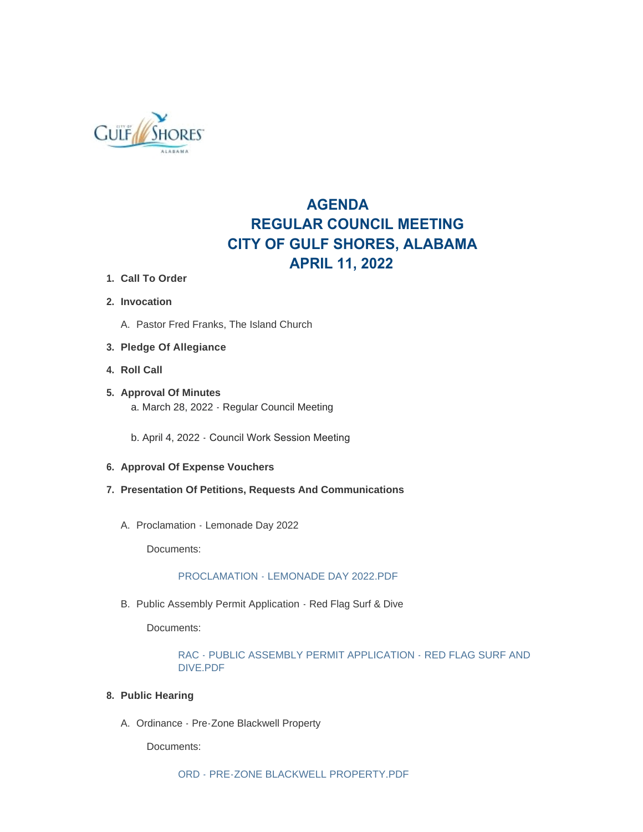

# **AGENDA REGULAR COUNCIL MEETING CITY OF GULF SHORES, ALABAMA APRIL 11, 2022**

- **Call To Order 1.**
- **Invocation 2.**
	- A. Pastor Fred Franks, The Island Church

# **Pledge Of Allegiance 3.**

- **Roll Call 4.**
- **Approval Of Minutes 5.** a. March 28, 2022 - Regular Council Meeting
	- b. April 4, 2022 Council Work Session Meeting
- **Approval Of Expense Vouchers 6.**
- **Presentation Of Petitions, Requests And Communications 7.**
	- A. Proclamation Lemonade Day 2022

Documents:

# [PROCLAMATION - LEMONADE DAY 2022.PDF](https://www.gulfshoresal.gov/AgendaCenter/ViewFile/Item/9973?fileID=21700)

B. Public Assembly Permit Application - Red Flag Surf & Dive

Documents:

[RAC - PUBLIC ASSEMBLY PERMIT APPLICATION - RED FLAG SURF AND](https://www.gulfshoresal.gov/AgendaCenter/ViewFile/Item/9972?fileID=21699)  DIVE.PDF

### **Public Hearing 8.**

A. Ordinance - Pre-Zone Blackwell Property

Documents: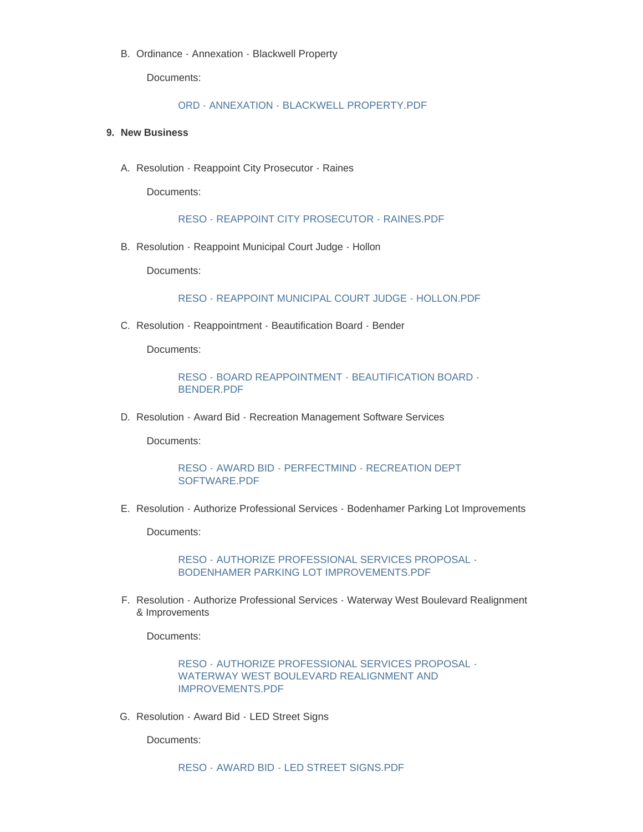B. Ordinance - Annexation - Blackwell Property

Documents:

#### [ORD - ANNEXATION - BLACKWELL PROPERTY.PDF](https://www.gulfshoresal.gov/AgendaCenter/ViewFile/Item/9975?fileID=21702)

#### **New Business 9.**

A. Resolution - Reappoint City Prosecutor - Raines

Documents:

[RESO - REAPPOINT CITY PROSECUTOR - RAINES.PDF](https://www.gulfshoresal.gov/AgendaCenter/ViewFile/Item/9986?fileID=21712)

B. Resolution - Reappoint Municipal Court Judge - Hollon

Documents:

[RESO - REAPPOINT MUNICIPAL COURT JUDGE - HOLLON.PDF](https://www.gulfshoresal.gov/AgendaCenter/ViewFile/Item/9987?fileID=21713)

C. Resolution - Reappointment - Beautification Board - Bender

Documents:

[RESO - BOARD REAPPOINTMENT - BEAUTIFICATION BOARD -](https://www.gulfshoresal.gov/AgendaCenter/ViewFile/Item/9985?fileID=21711) BENDER.PDF

D. Resolution - Award Bid - Recreation Management Software Services

Documents:

[RESO - AWARD BID - PERFECTMIND - RECREATION DEPT](https://www.gulfshoresal.gov/AgendaCenter/ViewFile/Item/9983?fileID=21709)  SOFTWARE.PDF

E. Resolution - Authorize Professional Services - Bodenhamer Parking Lot Improvements

Documents:

[RESO - AUTHORIZE PROFESSIONAL SERVICES PROPOSAL -](https://www.gulfshoresal.gov/AgendaCenter/ViewFile/Item/9980?fileID=21706) BODENHAMER PARKING LOT IMPROVEMENTS.PDF

F. Resolution - Authorize Professional Services - Waterway West Boulevard Realignment & Improvements

Documents:

[RESO - AUTHORIZE PROFESSIONAL SERVICES PROPOSAL -](https://www.gulfshoresal.gov/AgendaCenter/ViewFile/Item/9981?fileID=21707) WATERWAY WEST BOULEVARD REALIGNMENT AND IMPROVEMENTS.PDF

G. Resolution - Award Bid - LED Street Signs

Documents:

[RESO - AWARD BID - LED STREET SIGNS.PDF](https://www.gulfshoresal.gov/AgendaCenter/ViewFile/Item/9982?fileID=21708)